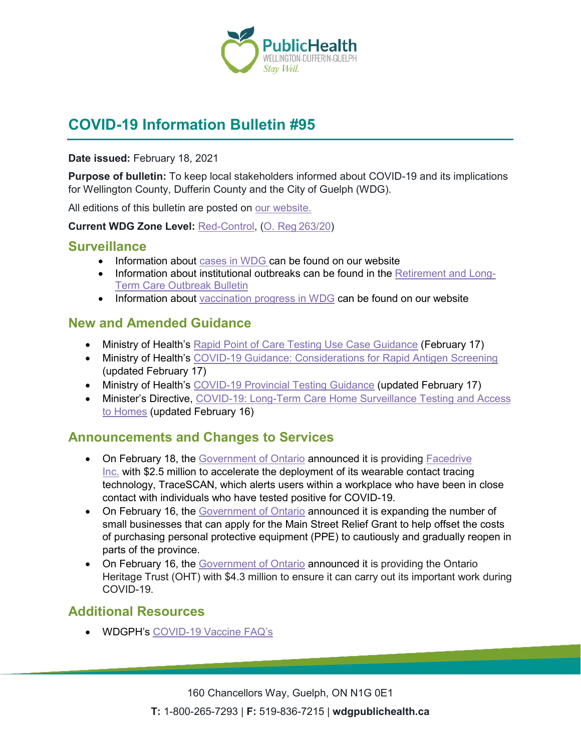

# **COVID-19 Information Bulletin #95**

**Date issued:** February 18, 2021

**Purpose of bulletin:** To keep local stakeholders informed about COVID-19 and its implications for Wellington County, Dufferin County and the City of Guelph (WDG).

All editions of this bulletin are posted on [our website.](https://www.wdgpublichealth.ca/your-health/covid-19-information-workplaces-and-living-spaces/community-stakeholder-bulletins)

**Current WDG Zone Level:** [Red-Control,](https://www.ontario.ca/page/covid-19-response-framework-keeping-ontario-safe-and-open#control) ([O. Reg 263/20](https://www.ontario.ca/laws/regulation/200263))

#### **Surveillance**

- Information about [cases in WDG](https://wdgpublichealth.ca/your-health/covid-19-information-public/status-cases-wdg) can be found on our website
- Information about institutional outbreaks can be found in the [Retirement and Long-](https://wdgpublichealth.ca/node/1542)[Term Care Outbreak Bulletin](https://wdgpublichealth.ca/node/1542)
- Information about [vaccination progress](https://www.wdgpublichealth.ca/your-health/covid-19-information-public/covid-19-vaccine-information-public) in WDG can be found on our website

### **New and Amended Guidance**

- Ministry of Health's [Rapid Point of Care Testing Use Case Guidance](http://www.health.gov.on.ca/en/pro/programs/publichealth/coronavirus/docs/rapid_point_care_testing_use_case_guidance.pdf) (February 17)
- Ministry of Health's [COVID-19 Guidance: Considerations for Rapid Antigen Screening](http://www.health.gov.on.ca/en/pro/programs/publichealth/coronavirus/docs/Antigen_Screening_Guidance_2020-12-30.pdf) (updated February 17)
- Ministry of Health's [COVID-19 Provincial Testing Guidance](http://www.health.gov.on.ca/en/pro/programs/publichealth/coronavirus/docs/2019_testing_guidance.pdf) (updated February 17)
- Minister's Directive, COVID-19: Long-Term Care Home Surveillance Testing and Access [to Homes](https://www.ontario.ca/page/covid-19-long-term-care-home-surveillance-testing?_ga=2.118662976.8925397.1613657117-1123331746.1579028832) (updated February 16)

## **Announcements and Changes to Services**

- On February 18, the [Government of Ontario](https://news.ontario.ca/en/release/60375/ontario-investing-in-wearable-contact-tracing-technology-to-help-protect-workers-from-covid-19) announced it is providing Facedrive [Inc.](https://facedrive.com/) with \$2.5 million to accelerate the deployment of its wearable contact tracing technology, TraceSCAN, which alerts users within a workplace who have been in close contact with individuals who have tested positive for COVID-19.
- On February 16, the [Government of Ontario](https://news.ontario.ca/en/release/60362/ontario-expands-eligibility-for-main-street-relief-grant) announced it is expanding the number of small businesses that can apply for the Main Street Relief Grant to help offset the costs of purchasing personal protective equipment (PPE) to cautiously and gradually reopen in parts of the province.
- On February 16, the [Government of](https://news.ontario.ca/en/release/60357/province-supports-ontario-heritage-trust-during-covid-19) Ontario announced it is providing the Ontario Heritage Trust (OHT) with \$4.3 million to ensure it can carry out its important work during COVID-19.

## **Additional Resources**

• WDGPH's [COVID-19 Vaccine FAQ's](https://wdgpublichealth.ca/your-health/covid-19-information-workplaces-and-living-spaces/covid-19-information-public/covid-19-3)